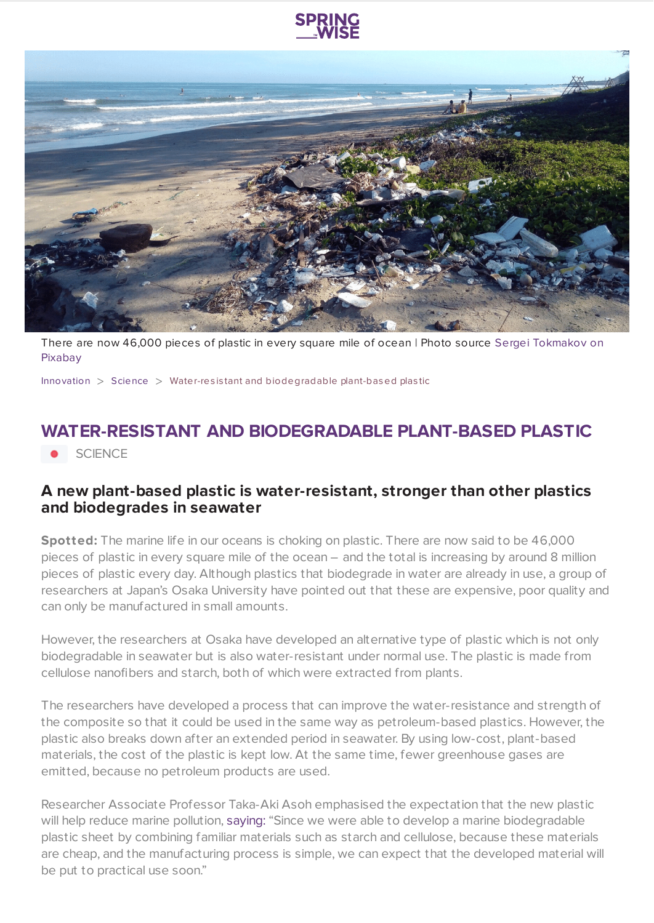



There are now 46,000 pieces of plastic in every square mile of ocean | Photo source Sergei [Tokmakov](https://www.springwise.com/sustainability-innovation/science/Pixabay.com) on Pixabay

[Innovation](https://www.springwise.com/search?type=innovation)  $>$  [Science](https://www.springwise.com/search?type=innovation§or=science-and-natural-world)  $>$  Water-resistant and biodegradable plant-based plastic

## **WATER-RESISTANT AND BIODEGRADABLE PLANT-BASED PLASTIC**

**.** SCIENCE

## **A new plant-based plastic is water-resistant, stronger than other plastics and biodegrades in seawater**

**Spotted:** The marine life in our oceans is choking on plastic. There are now said to be 46,000 pieces of plastic in every square mile of the ocean – and the total is increasing by around 8 million pieces of plastic every day. Although plastics that biodegrade in water are already in use, a group of researchers at Japan's Osaka University have pointed out that these are expensive, poor quality and can only be manufactured in small amounts.

However, the researchers at Osaka have developed an alternative type of plastic which is not only biodegradable in seawater but is also water-resistant under normal use. The plastic is made from cellulose nanofibers and starch, both of which were extracted from plants.

The researchers have developed a process that can improve the water-resistance and strength of the composite so that it could be used in the same way as petroleum-based plastics. However, the plastic also breaks down after an extended period in seawater. By using low-cost, plant-based materials, the cost of the plastic is kept low. At the same time, fewer greenhouse gases are emitted, because no petroleum products are used.

Researcher Associate Professor Taka-Aki Asoh emphasised the expectation that the new plastic will help reduce marine pollution, [saying:](https://newatlas.com/environment/plant-based-plastic-biodegrades-ocean/) "Since we were able to develop a marine biodegradable plastic sheet by combining familiar materials such as starch and cellulose, because these materials are cheap, and the manufacturing process is simple, we can expect that the developed material will be put to practical use soon."